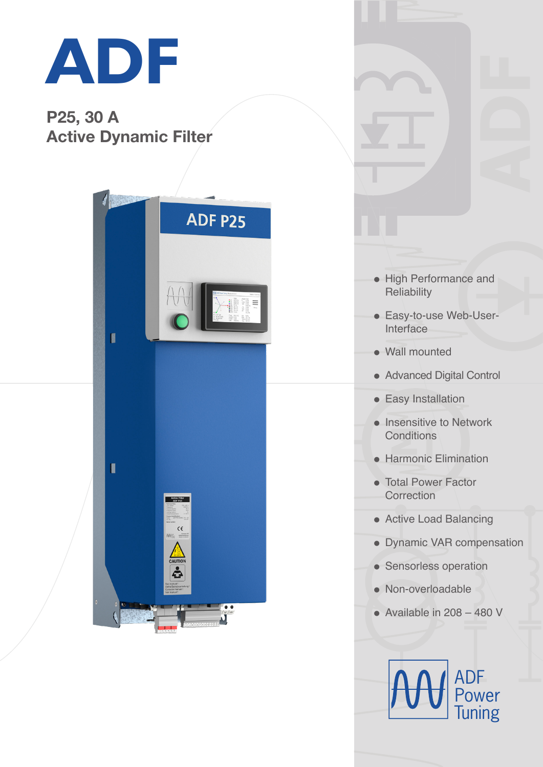

## P25, 30 A Active Dynamic Filter